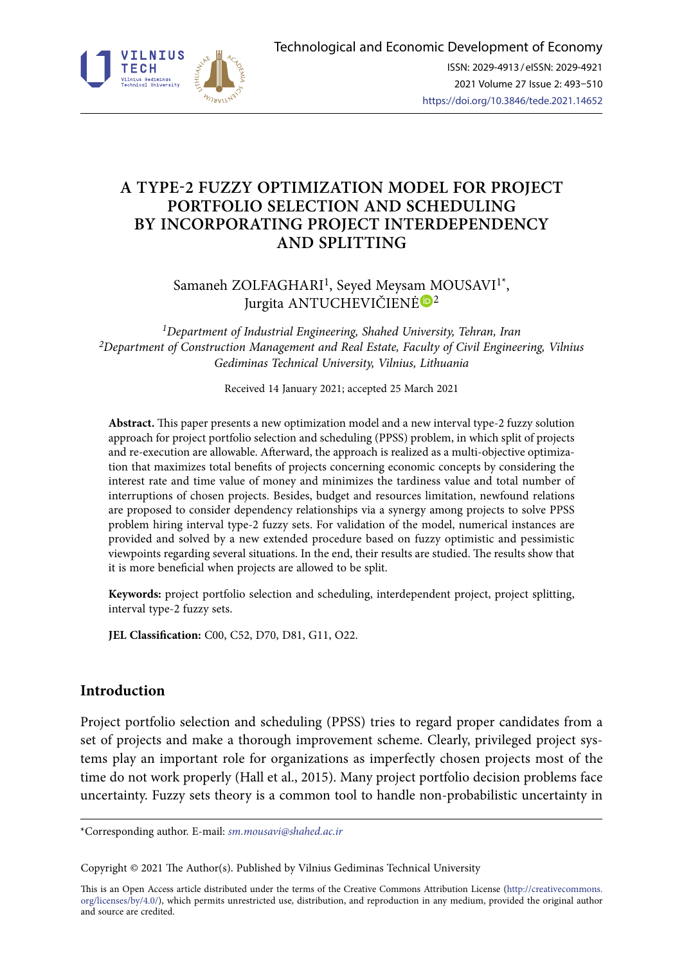

# **A TYPE-2 FUZZY OPTIMIZATION MODEL FOR PROJECT PORTFOLIO SELECTION AND SCHEDULING BY INCORPORATING PROJECT INTERDEPENDENCY AND SPLITTING**

Samaneh ZOLFAGHARI<sup>1</sup>, Seved Meysa[m M](https://orcid.org/0000-0002-1734-3216)OUSAVI<sup>1\*</sup>, Jurgita ANTUCHEVIČIENĖ<sup>®2</sup>

*1Department of Industrial Engineering, Shahed University, Tehran, Iran 2Department of Construction Management and Real Estate, Faculty of Civil Engineering, Vilnius Gediminas Technical University, Vilnius, Lithuania* 

Received 14 January 2021; accepted 25 March 2021

**Abstract.** This paper presents a new optimization model and a new interval type-2 fuzzy solution approach for project portfolio selection and scheduling (PPSS) problem, in which split of projects and re-execution are allowable. Afterward, the approach is realized as a multi-objective optimization that maximizes total benefits of projects concerning economic concepts by considering the interest rate and time value of money and minimizes the tardiness value and total number of interruptions of chosen projects. Besides, budget and resources limitation, newfound relations are proposed to consider dependency relationships via a synergy among projects to solve PPSS problem hiring interval type-2 fuzzy sets. For validation of the model, numerical instances are provided and solved by a new extended procedure based on fuzzy optimistic and pessimistic viewpoints regarding several situations. In the end, their results are studied. The results show that it is more beneficial when projects are allowed to be split.

**Keywords:** project portfolio selection and scheduling, interdependent project, project splitting, interval type-2 fuzzy sets.

**JEL Classification:** C00, C52, D70, D81, G11, O22.

# **Introduction**

Project portfolio selection and scheduling (PPSS) tries to regard proper candidates from a set of projects and make a thorough improvement scheme. Clearly, privileged project systems play an important role for organizations as imperfectly chosen projects most of the time do not work properly (Hall et al., 2015). Many project portfolio decision problems face uncertainty. Fuzzy sets theory is a common tool to handle non-probabilistic uncertainty in

\*Corresponding author. E-mail: *sm.mousavi@shahed.ac.ir*

Copyright © 2021 The Author(s). Published by Vilnius Gediminas Technical University

This is an Open Access article distributed under the terms of the Creative Commons Attribution License ([http://creativecommons.](http://dx.doi.org/10.1016/S0377-2217(03)00091-2) [org/licenses/by/4.0/\)](http://dx.doi.org/10.1016/S0377-2217(03)00091-2), which permits unrestricted use, distribution, and reproduction in any medium, provided the original author and source are credited.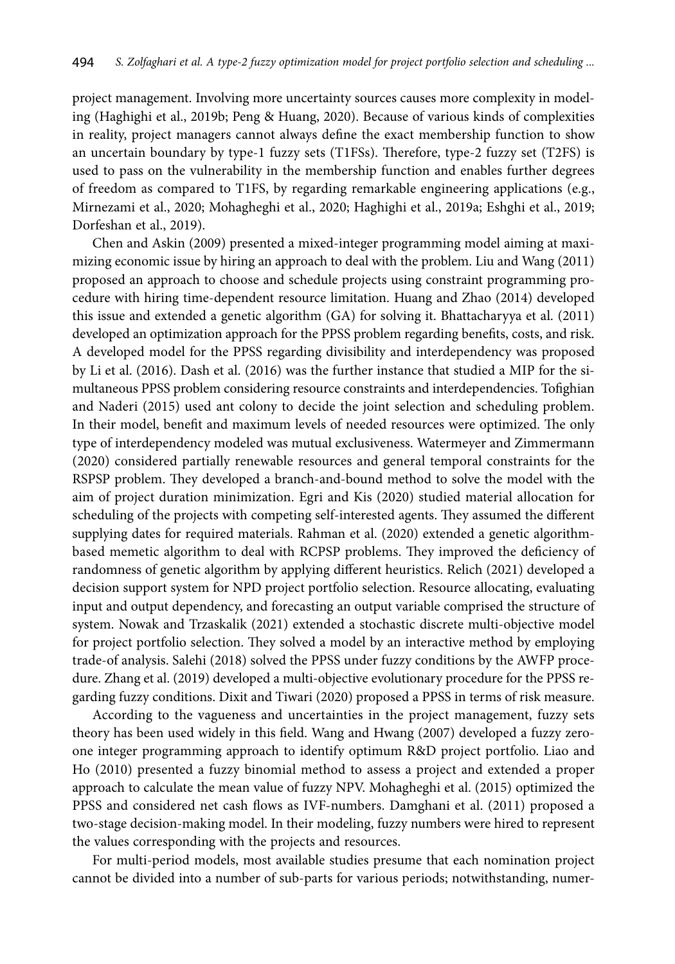project management. Involving more uncertainty sources causes more complexity in modeling (Haghighi et al., 2019b; Peng & Huang, 2020). Because of various kinds of complexities in reality, project managers cannot always define the exact membership function to show an uncertain boundary by type-1 fuzzy sets (T1FSs). Therefore, type-2 fuzzy set (T2FS) is used to pass on the vulnerability in the membership function and enables further degrees of freedom as compared to T1FS, by regarding remarkable engineering applications (e.g., Mirnezami et al., 2020; Mohagheghi et al., 2020; Haghighi et al., 2019a; Eshghi et al., 2019; [Dorfeshan](http://scientiairanica.sharif.edu/?_action=article&au=100339&_au=Y.++Dorfeshan) et al., 2019).

Chen and Askin (2009) presented a mixed-integer programming model aiming at maximizing economic issue by hiring an approach to deal with the problem. Liu and Wang (2011) proposed an approach to choose and schedule projects using constraint programming procedure with hiring time-dependent resource limitation. Huang and Zhao (2014) developed this issue and extended a genetic algorithm (GA) for solving it. Bhattacharyya et al. (2011) developed an optimization approach for the PPSS problem regarding benefits, costs, and risk. A developed model for the PPSS regarding divisibility and interdependency was proposed by Li et al. (2016). Dash et al. (2016) was the further instance that studied a MIP for the simultaneous PPSS problem considering resource constraints and interdependencies. Tofighian and Naderi (2015) used ant colony to decide the joint selection and scheduling problem. In their model, benefit and maximum levels of needed resources were optimized. The only type of interdependency modeled was mutual exclusiveness. Watermeyer and Zimmermann (2020) considered partially renewable resources and general temporal constraints for the RSPSP problem. They developed a branch-and-bound method to solve the model with the aim of project duration minimization. Egri and Kis (2020) studied material allocation for scheduling of the projects with competing self-interested agents. They assumed the different supplying dates for required materials. Rahman et al. (2020) extended a genetic algorithmbased memetic algorithm to deal with RCPSP problems. They improved the deficiency of randomness of genetic algorithm by applying different heuristics. Relich (2021) developed a decision support system for NPD project portfolio selection. Resource allocating, evaluating input and output dependency, and forecasting an output variable comprised the structure of system. [Nowak](https://link.springer.com/article/10.1007/s10479-020-03907-y#auth-Maciej-Nowak) an[d Trzaskalik](https://link.springer.com/article/10.1007/s10479-020-03907-y#auth-Tadeusz-Trzaskalik) (2021) extended a stochastic discrete multi-objective model for project portfolio selection. They solved a model by an interactive method by employing trade-of analysis. Salehi (2018) solved the PPSS under fuzzy conditions by the AWFP procedure. Zhang et al. (2019) developed a multi-objective evolutionary procedure for the PPSS regarding fuzzy conditions. Dixit and Tiwari (2020) proposed a PPSS in terms of risk measure.

According to the vagueness and uncertainties in the project management, fuzzy sets theory has been used widely in this field. Wang and Hwang (2007) developed a fuzzy zeroone integer programming approach to identify optimum R&D project portfolio. Liao and Ho (2010) presented a fuzzy binomial method to assess a project and extended a proper approach to calculate the mean value of fuzzy NPV. Mohagheghi et al. (2015) optimized the PPSS and considered net cash flows as IVF-numbers. Damghani et al. (2011) proposed a two-stage decision-making model. In their modeling, fuzzy numbers were hired to represent the values corresponding with the projects and resources.

For multi-period models, most available studies presume that each nomination project cannot be divided into a number of sub-parts for various periods; notwithstanding, numer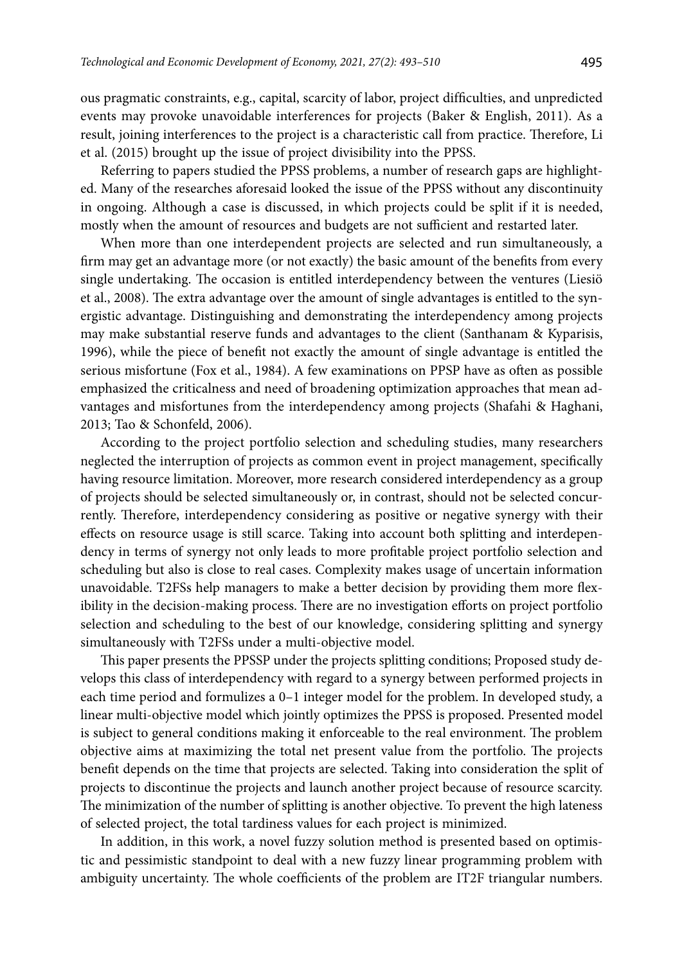ous pragmatic constraints, e.g., capital, scarcity of labor, project difficulties, and unpredicted events may provoke unavoidable interferences for projects (Baker & English, 2011). As a result, joining interferences to the project is a characteristic call from practice. Therefore, Li et al. (2015) brought up the issue of project divisibility into the PPSS.

Referring to papers studied the PPSS problems, a number of research gaps are highlighted. Many of the researches aforesaid looked the issue of the PPSS without any discontinuity in ongoing. Although a case is discussed, in which projects could be split if it is needed, mostly when the amount of resources and budgets are not sufficient and restarted later.

When more than one interdependent projects are selected and run simultaneously, a firm may get an advantage more (or not exactly) the basic amount of the benefits from every single undertaking. The occasion is entitled interdependency between the ventures (Liesiö et al., 2008). The extra advantage over the amount of single advantages is entitled to the synergistic advantage. Distinguishing and demonstrating the interdependency among projects may make substantial reserve funds and advantages to the client (Santhanam & Kyparisis, 1996), while the piece of benefit not exactly the amount of single advantage is entitled the serious misfortune (Fox et al., 1984). A few examinations on PPSP have as often as possible emphasized the criticalness and need of broadening optimization approaches that mean advantages and misfortunes from the interdependency among projects (Shafahi & Haghani, 2013; Tao & Schonfeld, 2006).

According to the project portfolio selection and scheduling studies, many researchers neglected the interruption of projects as common event in project management, specifically having resource limitation. Moreover, more research considered interdependency as a group of projects should be selected simultaneously or, in contrast, should not be selected concurrently. Therefore, interdependency considering as positive or negative synergy with their effects on resource usage is still scarce. Taking into account both splitting and interdependency in terms of synergy not only leads to more profitable project portfolio selection and scheduling but also is close to real cases. Complexity makes usage of uncertain information unavoidable. T2FSs help managers to make a better decision by providing them more flexibility in the decision-making process. There are no investigation efforts on project portfolio selection and scheduling to the best of our knowledge, considering splitting and synergy simultaneously with T2FSs under a multi-objective model.

This paper presents the PPSSP under the projects splitting conditions; Proposed study develops this class of interdependency with regard to a synergy between performed projects in each time period and formulizes a 0–1 integer model for the problem. In developed study, a linear multi-objective model which jointly optimizes the PPSS is proposed. Presented model is subject to general conditions making it enforceable to the real environment. The problem objective aims at maximizing the total net present value from the portfolio. The projects benefit depends on the time that projects are selected. Taking into consideration the split of projects to discontinue the projects and launch another project because of resource scarcity. The minimization of the number of splitting is another objective. To prevent the high lateness of selected project, the total tardiness values for each project is minimized.

In addition, in this work, a novel fuzzy solution method is presented based on optimistic and pessimistic standpoint to deal with a new fuzzy linear programming problem with ambiguity uncertainty. The whole coefficients of the problem are IT2F triangular numbers.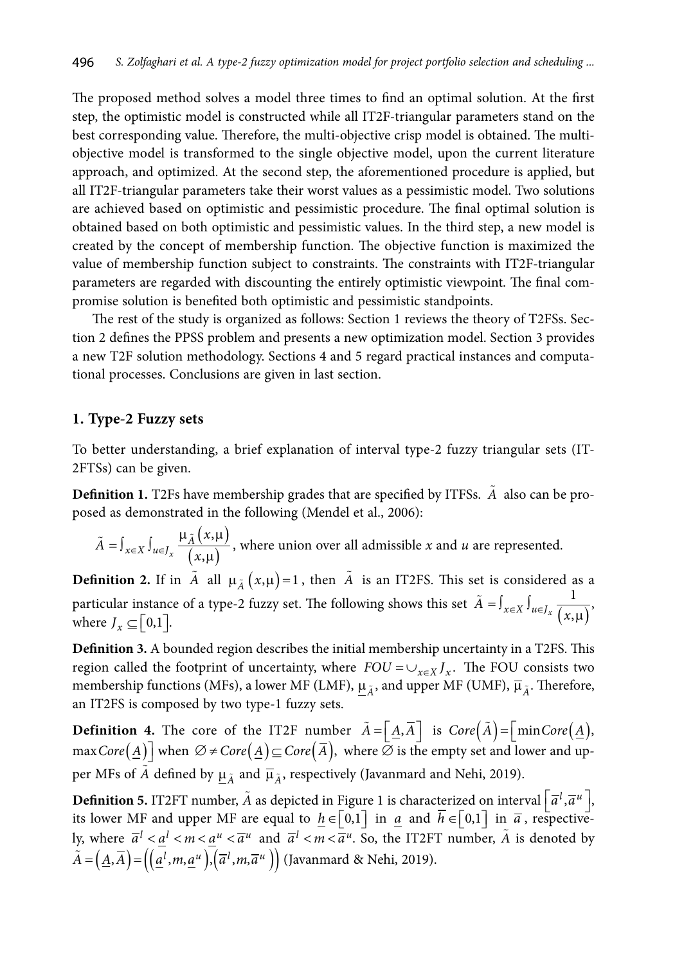The proposed method solves a model three times to find an optimal solution. At the first step, the optimistic model is constructed while all IT2F-triangular parameters stand on the best corresponding value. Therefore, the multi-objective crisp model is obtained. The multiobjective model is transformed to the single objective model, upon the current literature approach, and optimized. At the second step, the aforementioned procedure is applied, but all IT2F-triangular parameters take their worst values as a pessimistic model. Two solutions are achieved based on optimistic and pessimistic procedure. The final optimal solution is obtained based on both optimistic and pessimistic values. In the third step, a new model is created by the concept of membership function. The objective function is maximized the value of membership function subject to constraints. The constraints with IT2F-triangular parameters are regarded with discounting the entirely optimistic viewpoint. The final compromise solution is benefited both optimistic and pessimistic standpoints.

The rest of the study is organized as follows: Section 1 reviews the theory of T2FSs. Section 2 defines the PPSS problem and presents a new optimization model. Section 3 provides a new T2F solution methodology. Sections 4 and 5 regard practical instances and computational processes. Conclusions are given in last section.

#### **1. Type-2 Fuzzy sets**

To better understanding, a brief explanation of interval type-2 fuzzy triangular sets (IT-2FTSs) can be given.

**Definition 1.** T2Fs have membership grades that are specified by ITFSs. *A* also can be proposed as demonstrated in the following (Mendel et al., 2006):

 $(x,\mu)$  $(x,\mu)$ ,  $\begin{matrix} x \\ x \end{matrix}$  (x,  $\int_{\mathcal{X}} \in X \int_{\mathcal{U}} \in J_{\mathcal{X}} \frac{\mu_A}{f}$  $\tilde{A} = \int_{x \in X} \int_{u \in J_x} \frac{\mu_{\tilde{A}}(x)}{(x, y)}$  $\tilde{A} = \int_{x \in X} \int_{u \in J_x} \frac{\mu_{\tilde{A}}(x,\mu)}{(x,\mu)},$  where union over all admissible *x* and *u* are represented.

**Definition 2.** If in  $\tilde{A}$  all  $\mu_{\tilde{A}}(x,\mu)=1$ , then  $\tilde{A}$  is an IT2FS. This set is considered as a particular instance of a type-2 fuzzy set. The following shows this set  $\tilde{A} = \int_{x \in X} \int_{u \in J_x} \frac{1}{(x,\mu)},$ where  $J_r \subseteq [0,1]$ .

**Definition 3.** A bounded region describes the initial membership uncertainty in a T2FS. This region called the footprint of uncertainty, where  $FOU = \bigcup_{x \in X} I_x$ . The FOU consists two membership functions (MFs), a lower MF (LMF),  $\mu_{\tilde{\lambda}}$ , and upper MF (UMF),  $\bar{\mu}_{\tilde{\lambda}}$ . Therefore, an IT2FS is composed by two type-1 fuzzy sets.

**Definition 4.** The core of the IT2F number  $\tilde{A} = \begin{bmatrix} A, \overline{A} \end{bmatrix}$  is  $Core(\tilde{A}) = \begin{bmatrix} minCore(\underline{A}), \\ minr(\overline{A}), \\ min(\overline{A}),$ </u>  $maxCore(\underline{A})$  when  $\emptyset \neq Core(\underline{A}) \subseteq Core(\overline{A})$ , where  $\emptyset$  is the empty set and lower and upper MFs of  $\tilde{A}$  defined by  $\mu_{\tilde{A}}$  and  $\overline{\mu}_{\tilde{A}}$ , respectively (Javanmard and Nehi, 2019).

**Definition 5.** IT2FT number,  $\tilde{A}$  as depicted in Figure 1 is characterized on interval  $\left[\overline{a}^l, \overline{a}^u\right]$ , its lower MF and upper MF are equal to  $h \in [0,1]$  in  $\overline{a}$  and  $h \in [0,1]$  in  $\overline{a}$ , respectively, where  $\overline{a}^l < a^l < m < a^u < \overline{a}^u$  and  $\overline{a}^l < m < \overline{a}^u$ . So, the IT2FT number,  $\tilde{A}$  is denoted by  $\tilde{A} = (\underline{A}, \overline{A}) = ((\underline{a}^l, m, \underline{a}^u), (\overline{a}^l, m, \overline{a}^u))$  (Javanmard & Nehi, 2019).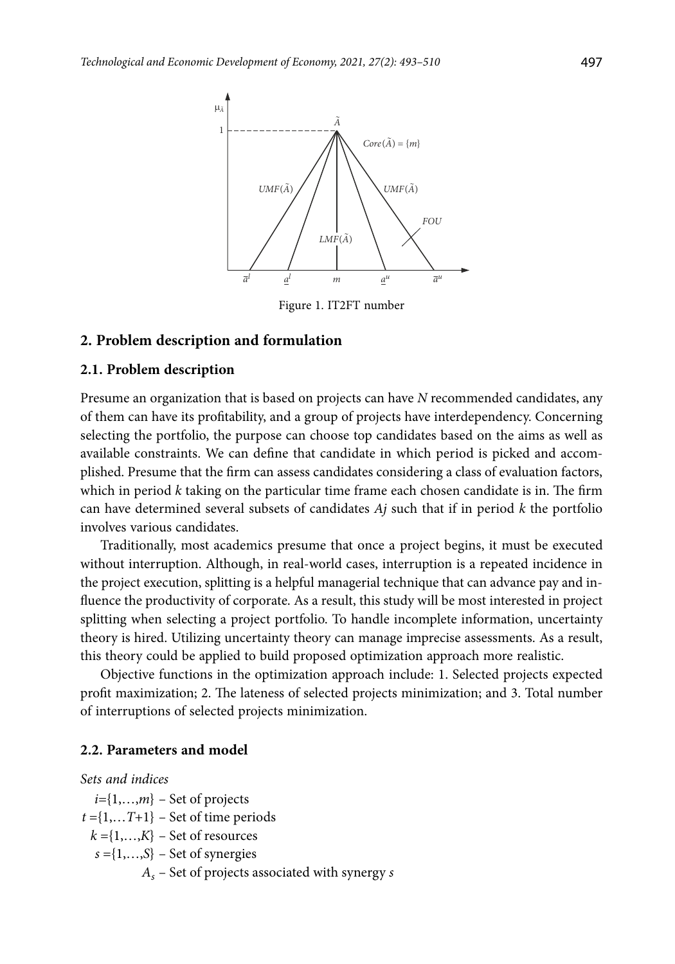

Figure 1. IT2FT number

#### **2. Problem description and formulation**

#### **2.1. Problem description**

Presume an organization that is based on projects can have *N* recommended candidates, any of them can have its profitability, and a group of projects have interdependency. Concerning selecting the portfolio, the purpose can choose top candidates based on the aims as well as available constraints. We can define that candidate in which period is picked and accomplished. Presume that the firm can assess candidates considering a class of evaluation factors, which in period *k* taking on the particular time frame each chosen candidate is in. The firm can have determined several subsets of candidates *Aj* such that if in period *k* the portfolio involves various candidates.

Traditionally, most academics presume that once a project begins, it must be executed without interruption. Although, in real-world cases, interruption is a repeated incidence in the project execution, splitting is a helpful managerial technique that can advance pay and influence the productivity of corporate. As a result, this study will be most interested in project splitting when selecting a project portfolio. To handle incomplete information, uncertainty theory is hired. Utilizing uncertainty theory can manage imprecise assessments. As a result, this theory could be applied to build proposed optimization approach more realistic.

Objective functions in the optimization approach include: 1. Selected projects expected profit maximization; 2. The lateness of selected projects minimization; and 3. Total number of interruptions of selected projects minimization.

### **2.2. Parameters and model**

### *Sets and indices*

*i=*{1,…,*m*} – Set of projects  $t = \{1, \ldots T+1\}$  – Set of time periods  $k = \{1, \ldots, K\}$  – Set of resources *s* ={1,…,*S*} – Set of synergies *As* – Set of projects associated with synergy *s*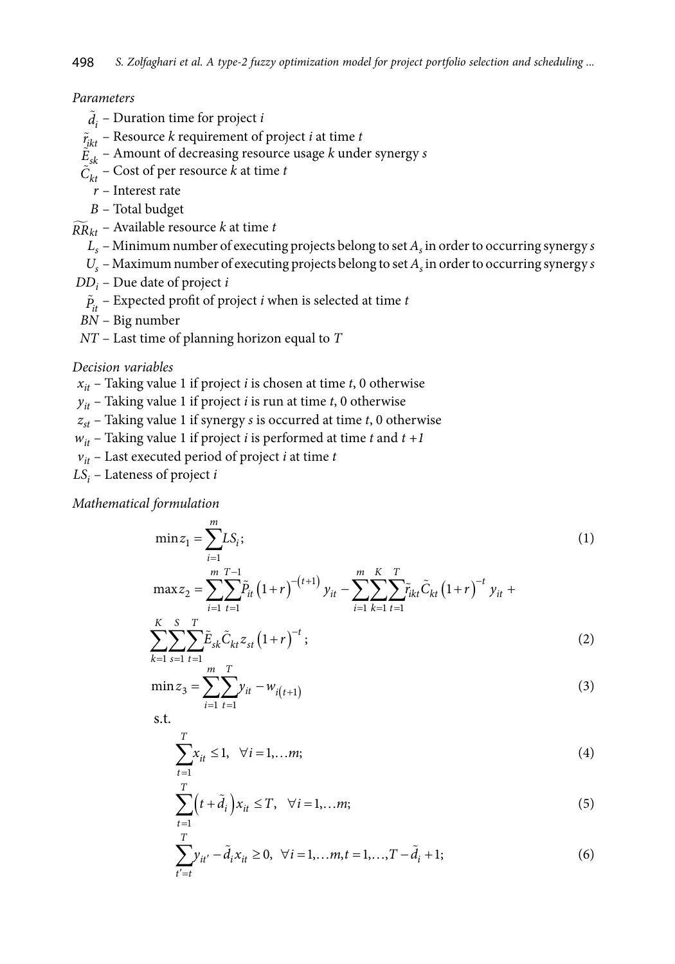#### *Parameters*

- $\tilde{d}_i$  Duration time for project *i*
- $\tilde{r}_{jkt}$  Resource *k* requirement of project *i* at time *t*
- $\ddot{E}_{sk}$  Amount of decreasing resource usage *k* under synergy *s*
- $\tilde{C}_{kt}$  Cost of per resource *k* at time *t* 
	- *r* Interest rate
	- *B* Total budget
- $\widetilde{RR}_{kt}$  Available resource *k* at time *t* 
	- $L<sub>s</sub>$  Minimum number of executing projects belong to set  $A<sub>s</sub>$  in order to occurring synergy *s*
	- $U_s$  Maximum number of executing projects belong to set  $A_s$  in order to occurring synergy *s*
- *DDi* Due date of project *i*
	- $\tilde{P}_{it}$  Expected profit of project *i* when is selected at time *t*
- *BN* Big number
- *NT* Last time of planning horizon equal to *T*

#### *Decision variables*

 $x_{it}$  – Taking value 1 if project *i* is chosen at time *t*, 0 otherwise

 $y_{it}$  – Taking value 1 if project *i* is run at time *t*, 0 otherwise

*zst* – Taking value 1 if synergy *s* is occurred at time *t*, 0 otherwise

 $w_{it}$  – Taking value 1 if project *i* is performed at time *t* and  $t + 1$ 

- $v_{it}$  Last executed period of project *i* at time *t*
- *LSi* Lateness of project *i*

*Mathematical formulation*

$$
\min z_1 = \sum_{i=1}^m L S_i; \tag{1}
$$
\n
$$
\max z_2 = \sum_{i=1}^m \tilde{P}_{it} \left( 1 + r \right)^{-(t+1)} y_{it} - \sum_{i=1}^m \sum_{i=1}^m \tilde{P}_{it} \tilde{C}_{kt} \left( 1 + r \right)^{-t} y_{it} +
$$

$$
\sum_{k=1}^{K} \sum_{s=1}^{S} \sum_{t=1}^{T} \tilde{E}_{sk} \tilde{C}_{kt} z_{st} (1+r)^{-t} ;
$$
\n(2)

$$
\min z_3 = \sum_{i=1}^{m} \sum_{t=1}^{T} y_{it} - w_{i(t+1)}
$$
\n(3)

s.t.

$$
\sum_{t=1}^{T} x_{it} \le 1, \quad \forall i = 1, \dots m; \tag{4}
$$

$$
\sum_{t=1}^{T} \left(t + \tilde{d}_i\right) x_{it} \le T, \quad \forall i = 1, \dots m; \tag{5}
$$

$$
\sum_{t'=t}^{T} y_{it'} - \tilde{d}_i x_{it} \ge 0, \ \forall i = 1,...m, t = 1,...,T - \tilde{d}_i + 1; \tag{6}
$$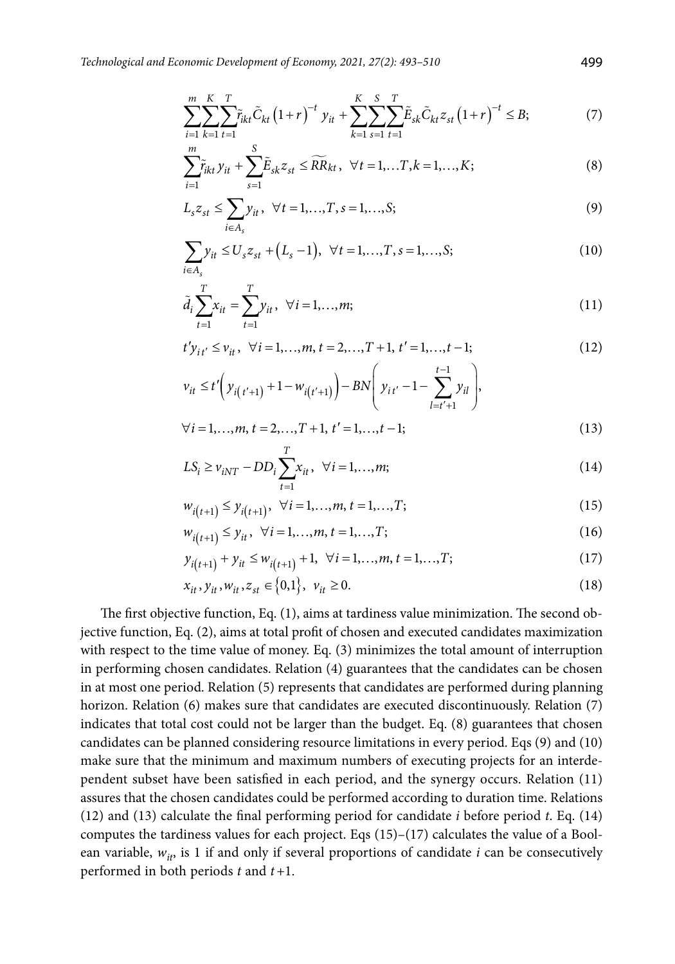$$
\sum_{i=1}^{m} \sum_{k=1}^{K} \sum_{t=1}^{T} \tilde{r}_{ikt} \tilde{C}_{kt} (1+r)^{-t} y_{it} + \sum_{k=1}^{K} \sum_{s=1}^{S} \sum_{t=1}^{T} \tilde{E}_{sk} \tilde{C}_{kt} z_{st} (1+r)^{-t} \leq B; \tag{7}
$$

$$
\sum_{i=1}^{m} \tilde{r}_{ikt} y_{it} + \sum_{s=1}^{S} \tilde{E}_{sk} z_{st} \le \widetilde{RR}_{kt}, \ \ \forall t = 1, \dots, T, k = 1, \dots, K; \tag{8}
$$

$$
L_{s}z_{st} \leq \sum_{i \in A_{s}} y_{it}, \ \forall t = 1,...,T, s = 1,...,S;
$$
 (9)

$$
\sum_{i \in A_s} y_{it} \le U_s z_{st} + (L_s - 1), \ \forall t = 1, ..., T, s = 1, ..., S;
$$
 (10)

$$
\tilde{d}_i \sum_{t=1}^T x_{it} = \sum_{t=1}^T y_{it}, \ \forall i = 1, ..., m; \tag{11}
$$

$$
t'y_{it'} \le v_{it}, \ \forall i = 1,...,m, t = 2,...,T+1, t' = 1,...,t-1; \tag{12}
$$

$$
\nu_{it} \le t' \bigg( y_{i(t'+1)} + 1 - w_{i(t'+1)} \bigg) - BN \bigg( y_{it'} - 1 - \sum_{l=t'+1}^{t-1} y_{il} \bigg),
$$

$$
\forall i = 1,...,m, t = 2,...,T + 1, t' = 1,...,t - 1;
$$
\n<sup>T</sup>\n(13)

$$
LS_i \ge v_{iNT} - DD_i \sum_{t=1}^{T} x_{it}, \ \forall i = 1,...,m;
$$
 (14)

$$
w_{i(t+1)} \le y_{i(t+1)}, \ \forall i = 1,...,m, t = 1,...,T; \tag{15}
$$

$$
w_{i(t+1)} \le y_{it}, \ \forall i = 1,...,m, t = 1,...,T; \tag{16}
$$

$$
y_{i(t+1)} + y_{it} \le w_{i(t+1)} + 1, \ \forall i = 1,...,m, t = 1,...,T;
$$
 (17)

$$
x_{it}, y_{it}, w_{it}, z_{st} \in \{0, 1\}, \ v_{it} \ge 0.
$$
 (18)

The first objective function, Eq. (1), aims at tardiness value minimization. The second objective function, Eq. (2), aims at total profit of chosen and executed candidates maximization with respect to the time value of money. Eq. (3) minimizes the total amount of interruption in performing chosen candidates. Relation (4) guarantees that the candidates can be chosen in at most one period. Relation (5) represents that candidates are performed during planning horizon. Relation (6) makes sure that candidates are executed discontinuously. Relation (7) indicates that total cost could not be larger than the budget. Eq. (8) guarantees that chosen candidates can be planned considering resource limitations in every period. Eqs (9) and (10) make sure that the minimum and maximum numbers of executing projects for an interdependent subset have been satisfied in each period, and the synergy occurs. Relation (11) assures that the chosen candidates could be performed according to duration time. Relations (12) and (13) calculate the final performing period for candidate *i* before period *t*. Eq. (14) computes the tardiness values for each project. Eqs  $(15)$ – $(17)$  calculates the value of a Boolean variable,  $w_{it}$ , is 1 if and only if several proportions of candidate  $i$  can be consecutively performed in both periods *t* and *t+*1.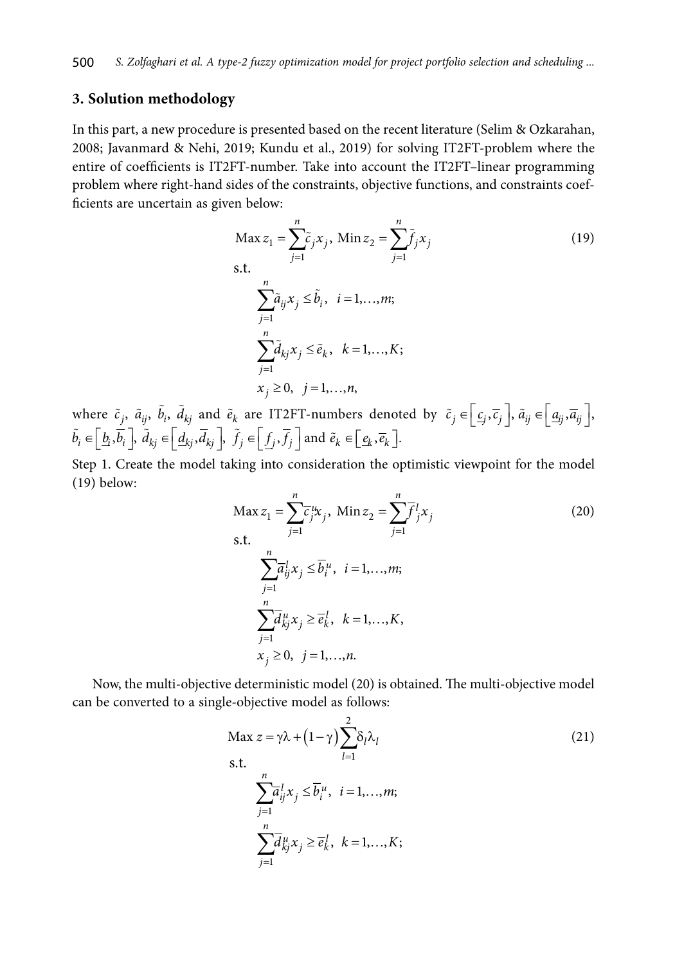### **3. Solution methodology**

In this part, a new procedure is presented based on the recent literature (Selim & Ozkarahan, 2008; Javanmard & Nehi, 2019; Kundu et al., 2019) for solving IT2FT-problem where the entire of coefficients is IT2FT-number. Take into account the IT2FT–linear programming problem where right-hand sides of the constraints, objective functions, and constraints coefficients are uncertain as given below:

$$
\text{Max } z_1 = \sum_{j=1}^n \tilde{c}_j x_j, \text{ Min } z_2 = \sum_{j=1}^n \tilde{f}_j x_j
$$
\n
$$
\text{s.t.}
$$
\n
$$
\sum_{j=1}^n \tilde{a}_{ij} x_j \le \tilde{b}_i, \quad i = 1, \dots, m;
$$
\n
$$
\sum_{j=1}^n \tilde{d}_{kj} x_j \le \tilde{e}_k, \quad k = 1, \dots, K;
$$
\n
$$
x_j \ge 0, \quad j = 1, \dots, n,
$$
\n
$$
(19)
$$

where  $\tilde{c}_j$ ,  $\tilde{a}_{ij}$ ,  $\tilde{b}_i$ ,  $\tilde{d}_{kj}$  and  $\tilde{e}_k$  are IT2FT-numbers denoted by  $\tilde{c}_j \in \left[ \underline{c}_j, \overline{c}_j \right]$ ,  $\tilde{a}_{ij} \in \left[ \underline{a}_{ij}, \overline{a}_{ij} \right]$ ,  $\tilde{b}_i \in \left[\underline{b}_i, \overline{b}_i\right], \tilde{d}_{kj} \in \left[\underline{d}_{kj}, \overline{d}_{kj}\right], \tilde{f}_j \in \left[\underline{f}_j, \overline{f}_j\right]$  and  $\tilde{e}_k \in \left[\underline{e}_k, \overline{e}_k\right]$ .

Step 1. Create the model taking into consideration the optimistic viewpoint for the model (19) below:

$$
\text{Max } z_1 = \sum_{j=1}^n \overline{c}_j^{\mu} x_j, \text{ Min } z_2 = \sum_{j=1}^n \overline{f}_j^1 x_j
$$
\n
$$
\text{s.t.}
$$
\n
$$
\sum_{j=1}^n \overline{a}_{ij}^1 x_j \le \overline{b}_i^{\mu}, \text{ } i = 1, \dots, m;
$$
\n
$$
\sum_{j=1}^n \overline{d}_{kj}^{\mu} x_j \ge \overline{e}_k^1, \text{ } k = 1, \dots, K,
$$
\n
$$
x_j \ge 0, \text{ } j = 1, \dots, n.
$$
\n(20)

Now, the multi-objective deterministic model (20) is obtained. The multi-objective model can be converted to a single-objective model as follows:

$$
\begin{aligned}\n\text{Max } z &= \gamma \lambda + \left(1 - \gamma\right) \sum_{l=1}^{2} \delta_{l} \lambda_{l} \\
\text{s.t.} \\
\sum_{j=1}^{n} \overline{a}_{ij}^{l} x_{j} &\leq \overline{b}_{i}^{u}, \quad i = 1, \dots, m; \\
\sum_{j=1}^{n} \overline{d}_{kj}^{u} x_{j} &\geq \overline{e}_{k}^{l}, \quad k = 1, \dots, K;\n\end{aligned} \tag{21}
$$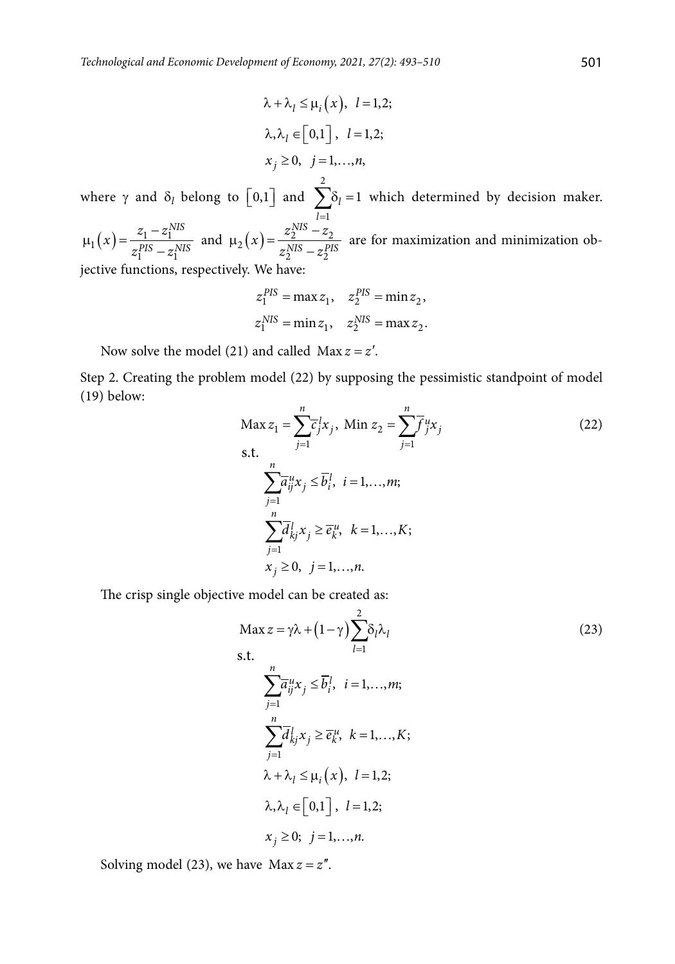$$
\lambda + \lambda_l \le \mu_i(x), \quad l = 1, 2;
$$
  

$$
\lambda, \lambda_l \in [0, 1], \quad l = 1, 2;
$$
  

$$
x_j \ge 0, \quad j = 1, ..., n,
$$
  

$$
y = 0, \quad j = 1, ..., n,
$$

where  $\gamma$  and  $\delta_l$  belong to  $\lfloor 0,1 \rfloor$  and 1  $l = 1$  $\sum_{l=1}$   $\delta_l$  = 1 which determined by decision maker.

 $\chi_1(x) = \frac{z_1}{zPIS} \frac{z_1}{z}$  $1 \sim 1$ *NIS*  $PIS = Z$ <sup>NIS</sup>  $x = \frac{z_1 - z}{p s}$  $\mu_1(x) = \frac{z_1 - z_1^{NIS}}{z_1^{PIS} - z_1^{NIS}}$  and  $\mu_2(x) = \frac{z_2^{NIS} - z_2^{NIS}}{z_2^{NIS} - z_2^{PIS}}$ 2  $\sim$  2 *NIS*  $NIS = z<sub>z</sub>$ *PIS*  $f(x) = \frac{z_2^{NIS} - z}{NIS}$  $\mu_2(x) = \frac{z_2^{NIS} - z_2}{z_2^{NIS} - z_2^{PIS}}$  are for maximization and minimization objective functions, respectively. We have:

$$
z_1^{PIS} = \max z_1, \quad z_2^{PIS} = \min z_2,
$$
  
 $z_1^{NIS} = \min z_1, \quad z_2^{NIS} = \max z_2.$ 

Now solve the model (21) and called  $Max z = z'$ .

Step 2. Creating the problem model (22) by supposing the pessimistic standpoint of model (19) below:

$$
\begin{aligned}\n\text{Max } z_1 &= \sum_{j=1}^n \overline{c}_j^1 x_j, \text{ Min } z_2 = \sum_{j=1}^n \overline{f}_j^u x_j \\
\text{s.t.} \\
\sum_{j=1}^n \overline{a}_{ij}^u x_j &\le \overline{b}_i^1, \text{ } i = 1, \dots, m; \\
\sum_{j=1}^n \overline{d}_{kj}^1 x_j &\ge \overline{e}_k^u, \text{ } k = 1, \dots, K; \\
x_j &\ge 0, \text{ } j = 1, \dots, n.\n\end{aligned} \tag{22}
$$

The crisp single objective model can be created as:

$$
\begin{aligned}\n\text{Max } z &= \gamma \lambda + \left(1 - \gamma\right) \sum_{l=1}^{2} \delta_{l} \lambda_{l} \\
\text{s.t.} \\
\sum_{j=1}^{n} \overline{a}_{ij}^{u} x_{j} &\leq \overline{b}_{i}^{l}, \quad i = 1, \dots, m; \\
\sum_{j=1}^{n} \overline{d}_{kj}^{l} x_{j} &\geq \overline{e}_{k}^{u}, \quad k = 1, \dots, K; \\
\lambda + \lambda_{l} &\leq \mu_{i} \left(x\right), \quad l = 1, 2; \\
\lambda, \lambda_{l} &\in \left[0, 1\right], \quad l = 1, 2; \\
x_{j} &\geq 0; \quad j = 1, \dots, n.\n\end{aligned}\n\tag{23}
$$

Solving model (23), we have  $Max z = z''$ .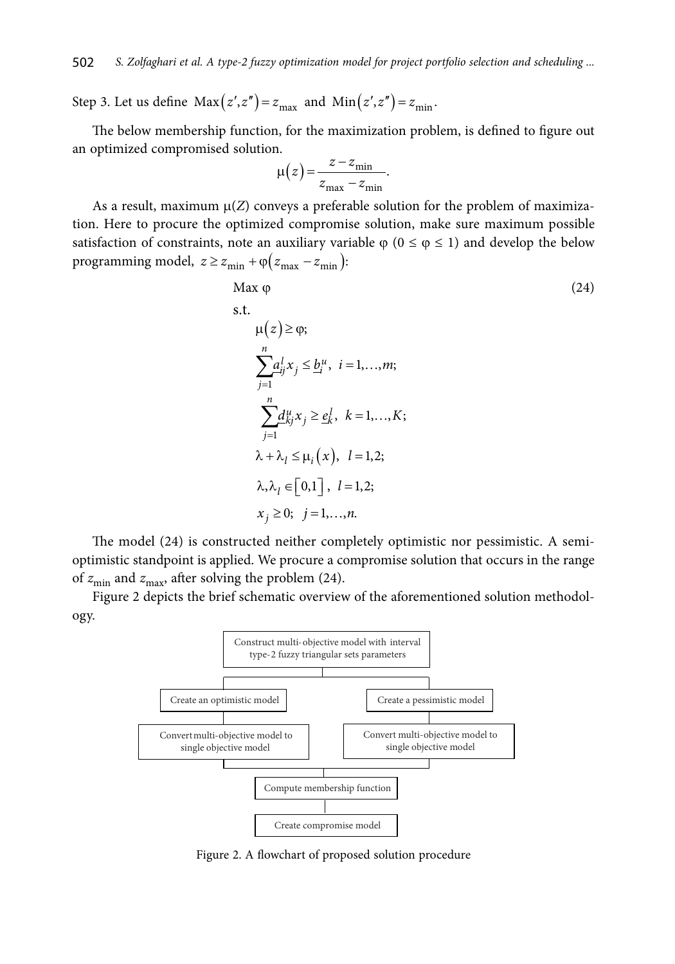Step 3. Let us define  $\text{Max}(z', z'') = z_{\text{max}}$  and  $\text{Min}(z', z'') = z_{\text{min}}$ .

The below membership function, for the maximization problem, is defined to figure out an optimized compromised solution.

$$
\mu(z) = \frac{z - z_{\min}}{z_{\max} - z_{\min}}.
$$

As a result, maximum  $\mu(Z)$  conveys a preferable solution for the problem of maximization. Here to procure the optimized compromise solution, make sure maximum possible satisfaction of constraints, note an auxiliary variable  $\varphi$  ( $0 \le \varphi \le 1$ ) and develop the below programming model,  $z \ge z_{\text{min}} + \varphi(z_{\text{max}} - z_{\text{min}})$ :

$$
\begin{aligned}\n\text{Max } \varphi & (24) \\
\text{s.t.} \\
\mu(z) &\geq \varphi; \\
\sum_{j=1}^{n} a_{ij}^{l} x_j &\leq \underline{b}_i^{u}, \quad i = 1, \dots, m; \\
\sum_{j=1}^{n} d_{kj}^{u} x_j &\geq \underline{e}_k^{l}, \quad k = 1, \dots, K; \\
\lambda + \lambda_l &\leq \mu_i(x), \quad l = 1, 2; \\
\lambda, \lambda_l &\in [0, 1], \quad l = 1, 2; \\
x_j &\geq 0; \quad j = 1, \dots, n.\n\end{aligned}
$$
\n(24)

The model (24) is constructed neither completely optimistic nor pessimistic. A semioptimistic standpoint is applied. We procure a compromise solution that occurs in the range of  $z_{\text{min}}$  and  $z_{\text{max}}$ , after solving the problem (24).

Figure 2 depicts the brief schematic overview of the aforementioned solution methodology.



Figure 2. A flowchart of proposed solution procedure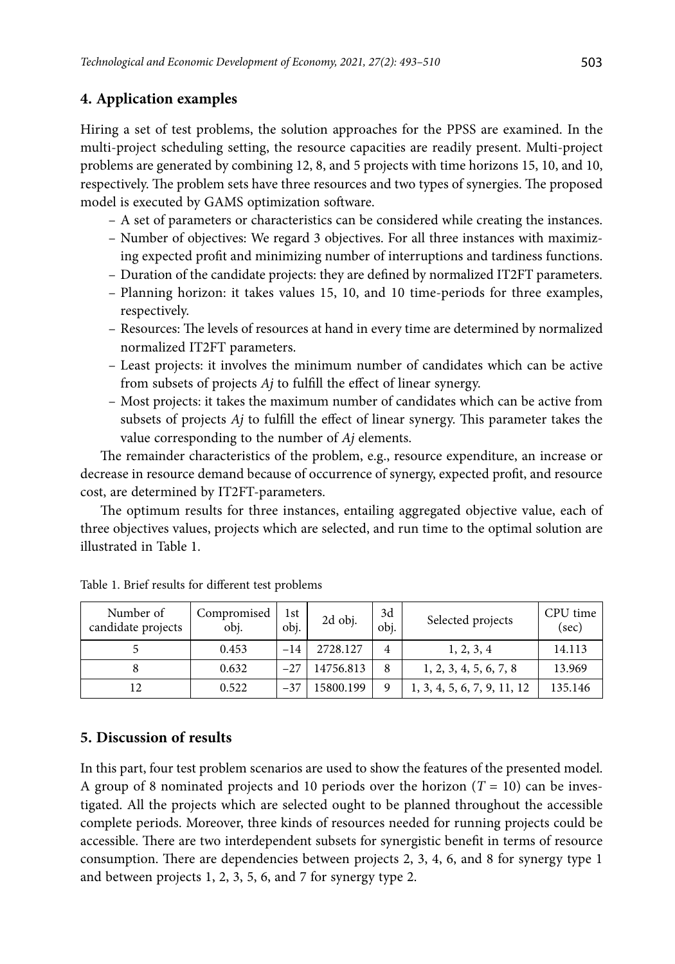# **4. Application examples**

Hiring a set of test problems, the solution approaches for the PPSS are examined. In the multi-project scheduling setting, the resource capacities are readily present. Multi-project problems are generated by combining 12, 8, and 5 projects with time horizons 15, 10, and 10, respectively. The problem sets have three resources and two types of synergies. The proposed model is executed by GAMS optimization software.

- A set of parameters or characteristics can be considered while creating the instances.
- Number of objectives: We regard 3 objectives. For all three instances with maximizing expected profit and minimizing number of interruptions and tardiness functions.
- Duration of the candidate projects: they are defined by normalized IT2FT parameters.
- Planning horizon: it takes values 15, 10, and 10 time-periods for three examples, respectively.
- Resources: The levels of resources at hand in every time are determined by normalized normalized IT2FT parameters.
- Least projects: it involves the minimum number of candidates which can be active from subsets of projects *Aj* to fulfill the effect of linear synergy.
- Most projects: it takes the maximum number of candidates which can be active from subsets of projects *Aj* to fulfill the effect of linear synergy. This parameter takes the value corresponding to the number of *Aj* elements.

The remainder characteristics of the problem, e.g., resource expenditure, an increase or decrease in resource demand because of occurrence of synergy, expected profit, and resource cost, are determined by IT2FT-parameters.

The optimum results for three instances, entailing aggregated objective value, each of three objectives values, projects which are selected, and run time to the optimal solution are illustrated in Table 1.

| Number of<br>candidate projects | Compromised<br>obj. | 1st<br>obj. | 2d obj.   | 3d<br>obi. | Selected projects           | CPU time<br>(sec) |
|---------------------------------|---------------------|-------------|-----------|------------|-----------------------------|-------------------|
|                                 | 0.453               | $-14$       | 2728.127  | 4          | 1, 2, 3, 4                  | 14.113            |
|                                 | 0.632               | $-2.7$      | 14756.813 | 8          | 1, 2, 3, 4, 5, 6, 7, 8      | 13.969            |
| 12                              | 0.522               | $-37$       | 15800.199 | 9          | 1, 3, 4, 5, 6, 7, 9, 11, 12 | 135.146           |

Table 1. Brief results for different test problems

#### **5. Discussion of results**

In this part, four test problem scenarios are used to show the features of the presented model. A group of 8 nominated projects and 10 periods over the horizon  $(T = 10)$  can be investigated. All the projects which are selected ought to be planned throughout the accessible complete periods. Moreover, three kinds of resources needed for running projects could be accessible. There are two interdependent subsets for synergistic benefit in terms of resource consumption. There are dependencies between projects 2, 3, 4, 6, and 8 for synergy type 1 and between projects 1, 2, 3, 5, 6, and 7 for synergy type 2.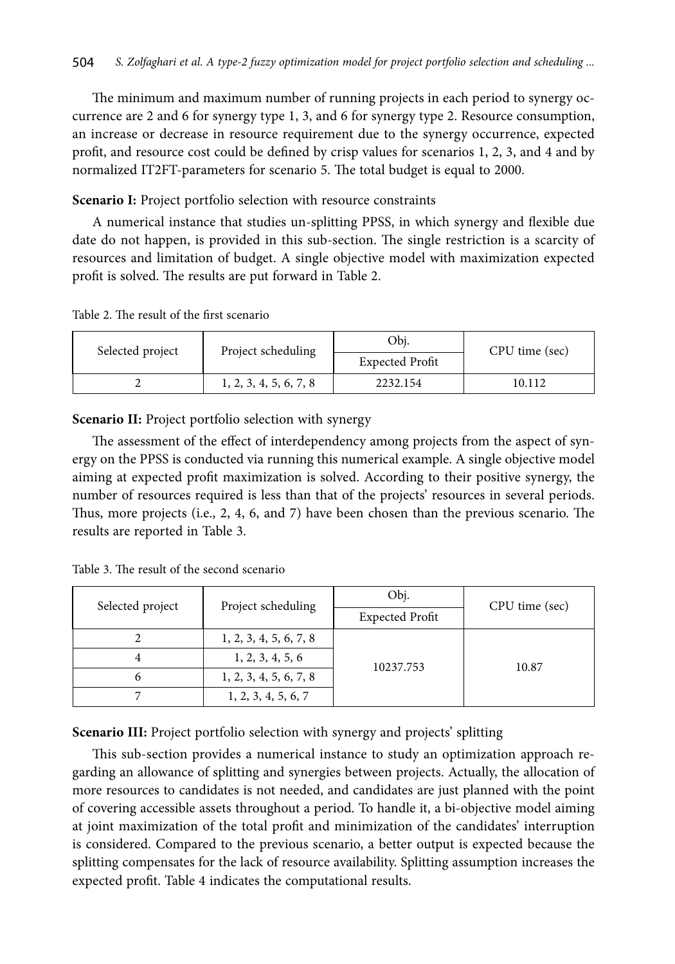The minimum and maximum number of running projects in each period to synergy occurrence are 2 and 6 for synergy type 1, 3, and 6 for synergy type 2. Resource consumption, an increase or decrease in resource requirement due to the synergy occurrence, expected profit, and resource cost could be defined by crisp values for scenarios 1, 2, 3, and 4 and by normalized IT2FT-parameters for scenario 5. The total budget is equal to 2000.

**Scenario I:** Project portfolio selection with resource constraints

A numerical instance that studies un-splitting PPSS, in which synergy and flexible due date do not happen, is provided in this sub-section. The single restriction is a scarcity of resources and limitation of budget. A single objective model with maximization expected profit is solved. The results are put forward in Table 2.

Table 2. The result of the first scenario

| Selected project | Project scheduling     | Obi.<br><b>Expected Profit</b> | CPU time (sec) |  |
|------------------|------------------------|--------------------------------|----------------|--|
|                  | 1, 2, 3, 4, 5, 6, 7, 8 | 2232.154                       | 10.112         |  |

**Scenario II:** Project portfolio selection with synergy

The assessment of the effect of interdependency among projects from the aspect of synergy on the PPSS is conducted via running this numerical example. A single objective model aiming at expected profit maximization is solved. According to their positive synergy, the number of resources required is less than that of the projects' resources in several periods. Thus, more projects (i.e., 2, 4, 6, and 7) have been chosen than the previous scenario. The results are reported in Table 3.

| Selected project | Project scheduling     | Obj.                   | CPU time (sec) |  |
|------------------|------------------------|------------------------|----------------|--|
|                  |                        | <b>Expected Profit</b> |                |  |
|                  | 1, 2, 3, 4, 5, 6, 7, 8 |                        |                |  |
|                  | 1, 2, 3, 4, 5, 6       | 10237.753              | 10.87          |  |
| h                | 1, 2, 3, 4, 5, 6, 7, 8 |                        |                |  |
|                  | 1, 2, 3, 4, 5, 6, 7    |                        |                |  |

Table 3. The result of the second scenario

**Scenario III:** Project portfolio selection with synergy and projects' splitting

This sub-section provides a numerical instance to study an optimization approach regarding an allowance of splitting and synergies between projects. Actually, the allocation of more resources to candidates is not needed, and candidates are just planned with the point of covering accessible assets throughout a period. To handle it, a bi-objective model aiming at joint maximization of the total profit and minimization of the candidates' interruption is considered. Compared to the previous scenario, a better output is expected because the splitting compensates for the lack of resource availability. Splitting assumption increases the expected profit. Table 4 indicates the computational results.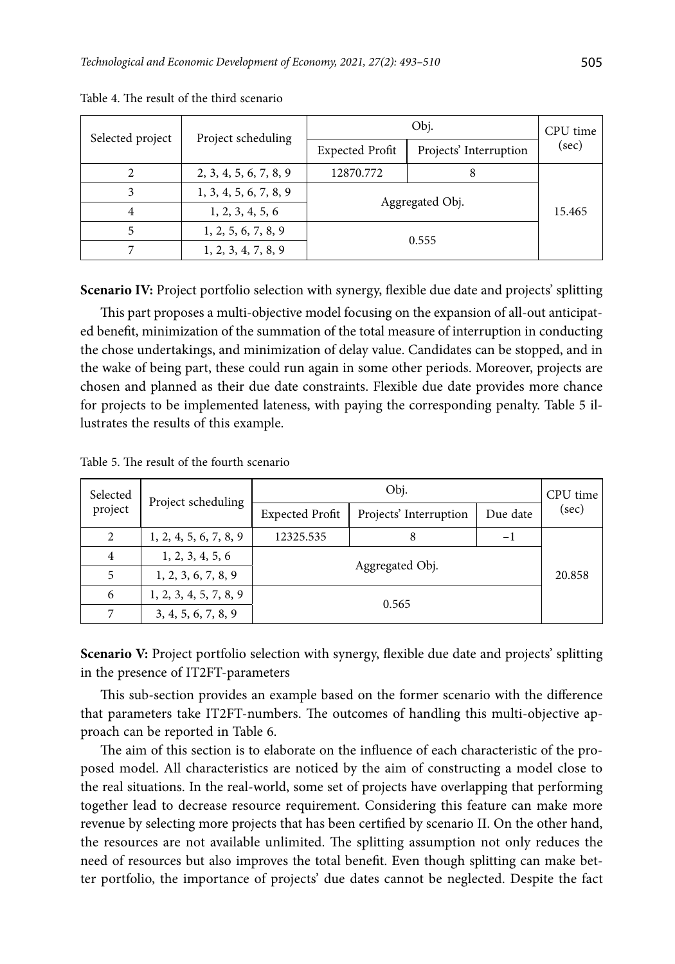| Selected project | Project scheduling     |                        | CPU time               |        |
|------------------|------------------------|------------------------|------------------------|--------|
|                  |                        | <b>Expected Profit</b> | Projects' Interruption | (sec)  |
|                  | 2, 3, 4, 5, 6, 7, 8, 9 | 12870.772              |                        |        |
|                  | 1, 3, 4, 5, 6, 7, 8, 9 | Aggregated Obj.        |                        |        |
|                  | 1, 2, 3, 4, 5, 6       |                        |                        | 15.465 |
|                  | 1, 2, 5, 6, 7, 8, 9    | 0.555                  |                        |        |
|                  | 1, 2, 3, 4, 7, 8, 9    |                        |                        |        |

Table 4. The result of the third scenario

**Scenario IV:** Project portfolio selection with synergy, flexible due date and projects' splitting

This part proposes a multi-objective model focusing on the expansion of all-out anticipated benefit, minimization of the summation of the total measure of interruption in conducting the chose undertakings, and minimization of delay value. Candidates can be stopped, and in the wake of being part, these could run again in some other periods. Moreover, projects are chosen and planned as their due date constraints. Flexible due date provides more chance for projects to be implemented lateness, with paying the corresponding penalty. Table 5 illustrates the results of this example.

| Selected | Project scheduling     |                        | CPU time               |          |       |
|----------|------------------------|------------------------|------------------------|----------|-------|
| project  |                        | <b>Expected Profit</b> | Projects' Interruption | Due date | (sec) |
| 2        | 1, 2, 4, 5, 6, 7, 8, 9 | 12325.535              | 8                      | $-1$     |       |
| 4        | 1, 2, 3, 4, 5, 6       | Aggregated Obj.        |                        |          |       |
| 5        | 1, 2, 3, 6, 7, 8, 9    |                        | 20.858                 |          |       |
| 6        | 1, 2, 3, 4, 5, 7, 8, 9 | 0.565                  |                        |          |       |
| 7        | 3, 4, 5, 6, 7, 8, 9    |                        |                        |          |       |

Table 5. The result of the fourth scenario

**Scenario V:** Project portfolio selection with synergy, flexible due date and projects' splitting in the presence of IT2FT-parameters

This sub-section provides an example based on the former scenario with the difference that parameters take IT2FT-numbers. The outcomes of handling this multi-objective approach can be reported in Table 6.

The aim of this section is to elaborate on the influence of each characteristic of the proposed model. All characteristics are noticed by the aim of constructing a model close to the real situations. In the real-world, some set of projects have overlapping that performing together lead to decrease resource requirement. Considering this feature can make more revenue by selecting more projects that has been certified by scenario II. On the other hand, the resources are not available unlimited. The splitting assumption not only reduces the need of resources but also improves the total benefit. Even though splitting can make better portfolio, the importance of projects' due dates cannot be neglected. Despite the fact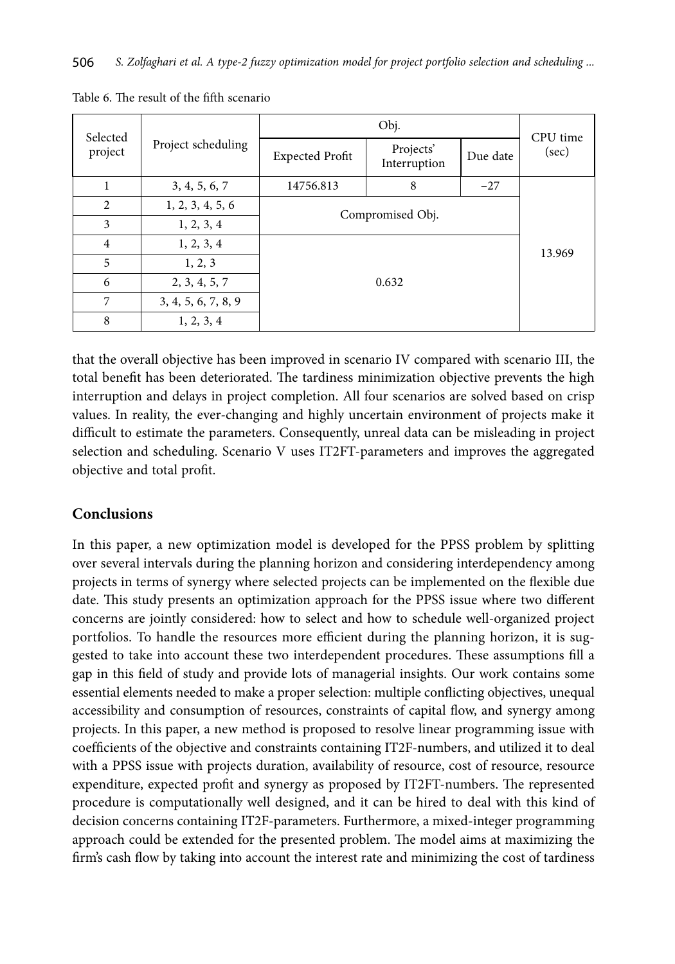| Selected       |                     |                        | CPU time                  |          |        |  |  |
|----------------|---------------------|------------------------|---------------------------|----------|--------|--|--|
| project        | Project scheduling  | <b>Expected Profit</b> | Projects'<br>Interruption | Due date | (sec)  |  |  |
|                | 3, 4, 5, 6, 7       | 14756.813              | 8                         | $-27$    |        |  |  |
| 2              | 1, 2, 3, 4, 5, 6    | Compromised Obj.       |                           |          |        |  |  |
| 3              | 1, 2, 3, 4          |                        |                           |          |        |  |  |
| $\overline{4}$ | 1, 2, 3, 4          |                        |                           |          | 13.969 |  |  |
| 5              | 1, 2, 3             |                        |                           |          |        |  |  |
| 6              | 2, 3, 4, 5, 7       | 0.632                  |                           |          |        |  |  |
| 7              | 3, 4, 5, 6, 7, 8, 9 |                        |                           |          |        |  |  |
| 8              | 1, 2, 3, 4          |                        |                           |          |        |  |  |

Table 6. The result of the fifth scenario

that the overall objective has been improved in scenario IV compared with scenario III, the total benefit has been deteriorated. The tardiness minimization objective prevents the high interruption and delays in project completion. All four scenarios are solved based on crisp values. In reality, the ever-changing and highly uncertain environment of projects make it difficult to estimate the parameters. Consequently, unreal data can be misleading in project selection and scheduling. Scenario V uses IT2FT-parameters and improves the aggregated objective and total profit.

# **Conclusions**

In this paper, a new optimization model is developed for the PPSS problem by splitting over several intervals during the planning horizon and considering interdependency among projects in terms of synergy where selected projects can be implemented on the flexible due date. This study presents an optimization approach for the PPSS issue where two different concerns are jointly considered: how to select and how to schedule well-organized project portfolios. To handle the resources more efficient during the planning horizon, it is suggested to take into account these two interdependent procedures. These assumptions fill a gap in this field of study and provide lots of managerial insights. Our work contains some essential elements needed to make a proper selection: multiple conflicting objectives, unequal accessibility and consumption of resources, constraints of capital flow, and synergy among projects. In this paper, a new method is proposed to resolve linear programming issue with coefficients of the objective and constraints containing IT2F-numbers, and utilized it to deal with a PPSS issue with projects duration, availability of resource, cost of resource, resource expenditure, expected profit and synergy as proposed by IT2FT-numbers. The represented procedure is computationally well designed, and it can be hired to deal with this kind of decision concerns containing IT2F-parameters. Furthermore, a mixed-integer programming approach could be extended for the presented problem. The model aims at maximizing the firm's cash flow by taking into account the interest rate and minimizing the cost of tardiness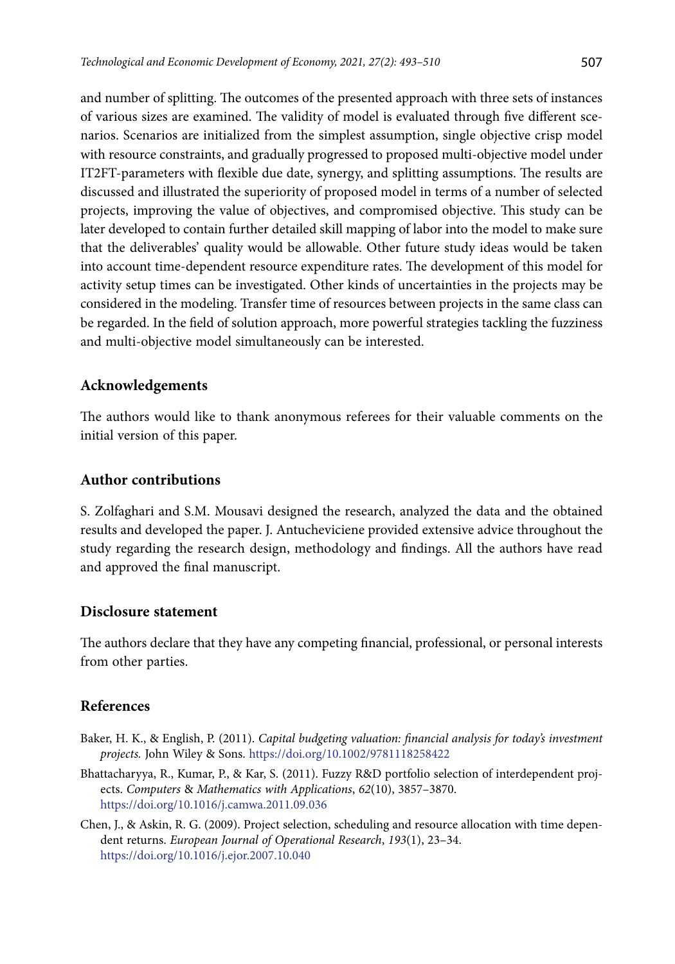and number of splitting. The outcomes of the presented approach with three sets of instances of various sizes are examined. The validity of model is evaluated through five different scenarios. Scenarios are initialized from the simplest assumption, single objective crisp model with resource constraints, and gradually progressed to proposed multi-objective model under IT2FT-parameters with flexible due date, synergy, and splitting assumptions. The results are discussed and illustrated the superiority of proposed model in terms of a number of selected projects, improving the value of objectives, and compromised objective. This study can be later developed to contain further detailed skill mapping of labor into the model to make sure that the deliverables' quality would be allowable. Other future study ideas would be taken into account time-dependent resource expenditure rates. The development of this model for activity setup times can be investigated. Other kinds of uncertainties in the projects may be considered in the modeling. Transfer time of resources between projects in the same class can be regarded. In the field of solution approach, more powerful strategies tackling the fuzziness and multi-objective model simultaneously can be interested.

# **Acknowledgements**

The authors would like to thank anonymous referees for their valuable comments on the initial version of this paper.

# **Author contributions**

S. Zolfaghari and S.M. Mousavi designed the research, analyzed the data and the obtained results and developed the paper. J. Antucheviciene provided extensive advice throughout the study regarding the research design, methodology and findings. All the authors have read and approved the final manuscript.

### **Disclosure statement**

The authors declare that they have any competing financial, professional, or personal interests from other parties.

# **References**

- Baker, H. K., & English, P. (2011). *Capital budgeting valuation: financial analysis for today's investment projects.* John Wiley & Sons. <https://doi.org/10.1002/9781118258422>
- Bhattacharyya, R., Kumar, P., & Kar, S. (2011). Fuzzy R&D portfolio selection of interdependent projects. *Computers* & *Mathematics with Applications*, *62*(10), 3857–3870. <https://doi.org/10.1016/j.camwa.2011.09.036>
- Chen, J., & Askin, R. G. (2009). Project selection, scheduling and resource allocation with time dependent returns. *European Journal of Operational Research*, *193*(1), 23–34. <https://doi.org/10.1016/j.ejor.2007.10.040>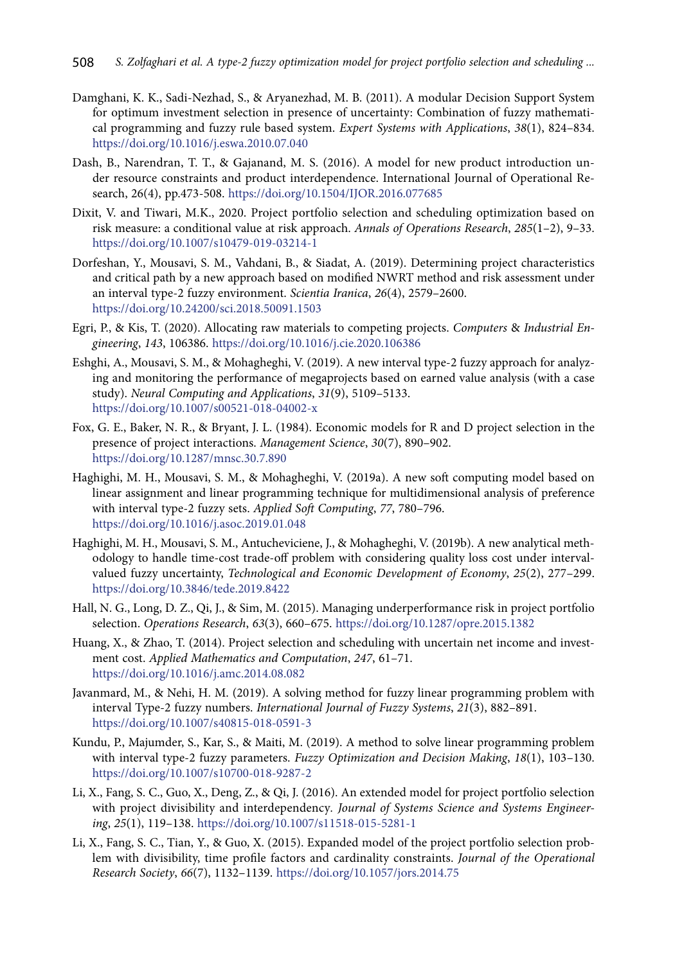- Damghani, K. K., Sadi-Nezhad, S., & Aryanezhad, M. B. (2011). A modular Decision Support System for optimum investment selection in presence of uncertainty: Combination of fuzzy mathematical programming and fuzzy rule based system. *Expert Systems with Applications*, *38*(1), 824–834. <https://doi.org/10.1016/j.eswa.2010.07.040>
- Dash, B., Narendran, T. T., & Gajanand, M. S. (2016). A model for new product introduction under resource constraints and product interdependence. International Journal of Operational Research, 26(4), pp.473-508. <https://doi.org/10.1504/IJOR.2016.077685>
- Dixit, V. and Tiwari, M.K., 2020. Project portfolio selection and scheduling optimization based on risk measure: a conditional value at risk approach. *Annals of Operations Research*, *285*(1–2), 9–33. <https://doi.org/10.1007/s10479-019-03214-1>
- [Dorfeshan](http://scientiairanica.sharif.edu/?_action=article&au=100339&_au=Y.++Dorfeshan), Y., [Mousavi,](http://scientiairanica.sharif.edu/?_action=article&au=12344&_au=S.Meysam++Mousavi) S. M., [Vahdani](http://scientiairanica.sharif.edu/?_action=article&au=12343&_au=B.++Vahdani), B., & [Siadat,](http://scientiairanica.sharif.edu/?_action=article&au=18760&_au=Ali++Siadat) A. (2019). Determining project characteristics and critical path by a new approach based on modified NWRT method and risk assessment under an interval type-2 fuzzy environment. *Scientia Iranica*, *26*(4), 2579–2600. <https://doi.org/10.24200/sci.2018.50091.1503>
- Egri, P., & Kis, T. (2020). Allocating raw materials to competing projects. *Computers* & *Industrial Engineering*, *143*, 106386. <https://doi.org/10.1016/j.cie.2020.106386>
- Eshghi, A., Mousavi, S. M., & Mohagheghi, V. (2019). A new interval type-2 fuzzy approach for analyzing and monitoring the performance of megaprojects based on earned value analysis (with a case study). *Neural Computing and Applications*, *31*(9), 5109–5133. <https://doi.org/10.1007/s00521-018-04002-x>
- Fox, G. E., Baker, N. R., & Bryant, J. L. (1984). Economic models for R and D project selection in the presence of project interactions. *Management Science*, *30*(7), 890–902. <https://doi.org/10.1287/mnsc.30.7.890>
- Haghighi, M. H., Mousavi, S. M., & Mohagheghi, V. (2019a). A new soft computing model based on linear assignment and linear programming technique for multidimensional analysis of preference with interval type-2 fuzzy sets. *Applied Soft Computing*, *77*, 780–796. <https://doi.org/10.1016/j.asoc.2019.01.048>
- Haghighi, M. H., Mousavi, S. M., Antucheviciene, J., & Mohagheghi, V. (2019b). A new analytical methodology to handle time-cost trade-off problem with considering quality loss cost under intervalvalued fuzzy uncertainty, *Technological and Economic Development of Economy*, *25*(2), 277–299. <https://doi.org/10.3846/tede.2019.8422>
- Hall, N. G., Long, D. Z., Qi, J., & Sim, M. (2015). Managing underperformance risk in project portfolio selection. *Operations Research*, *63*(3), 660–675. <https://doi.org/10.1287/opre.2015.1382>
- Huang, X., & Zhao, T. (2014). Project selection and scheduling with uncertain net income and investment cost. *Applied Mathematics and Computation*, *247*, 61–71. <https://doi.org/10.1016/j.amc.2014.08.082>
- Javanmard, M., & Nehi, H. M. (2019). A solving method for fuzzy linear programming problem with interval Type-2 fuzzy numbers. *International Journal of Fuzzy Systems*, *21*(3), 882–891. <https://doi.org/10.1007/s40815-018-0591-3>
- Kundu, P., Majumder, S., Kar, S., & Maiti, M. (2019). A method to solve linear programming problem with interval type-2 fuzzy parameters. *Fuzzy Optimization and Decision Making*, *18*(1), 103–130. <https://doi.org/10.1007/s10700-018-9287-2>
- Li, X., Fang, S. C., Guo, X., Deng, Z., & Qi, J. (2016). An extended model for project portfolio selection with project divisibility and interdependency*. Journal of Systems Science and Systems Engineering*, *25*(1), 119–138. <https://doi.org/10.1007/s11518-015-5281-1>
- Li, X., Fang, S. C., Tian, Y., & Guo, X. (2015). Expanded model of the project portfolio selection problem with divisibility, time profile factors and cardinality constraints. *Journal of the Operational Research Society*, *66*(7), 1132–1139. <https://doi.org/10.1057/jors.2014.75>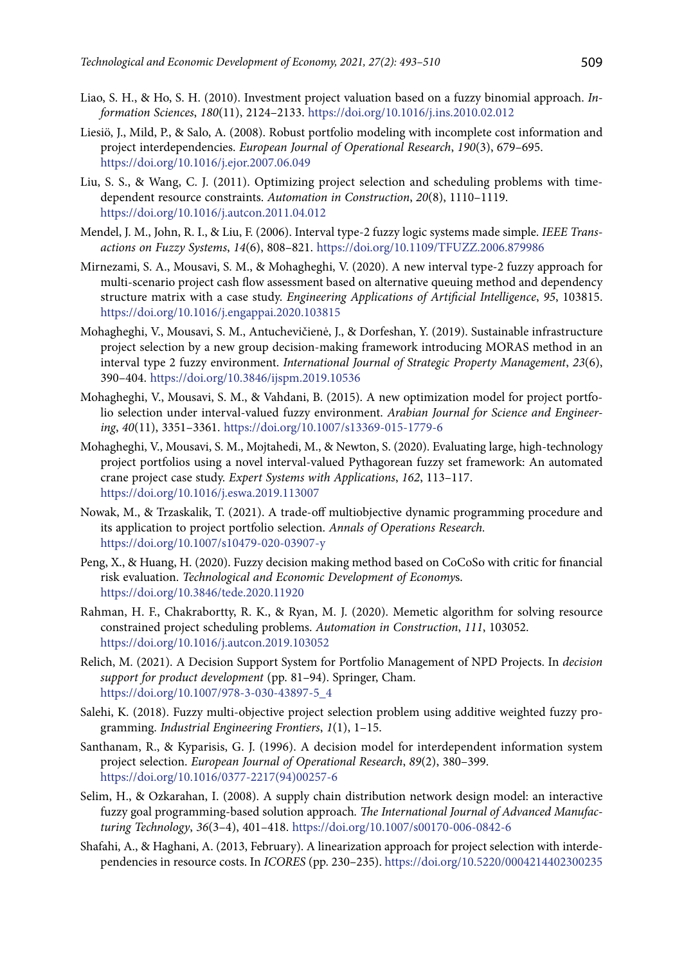- Liao, S. H., & Ho, S. H. (2010). Investment project valuation based on a fuzzy binomial approach. *Information Sciences*, *180*(11), 2124–2133. <https://doi.org/10.1016/j.ins.2010.02.012>
- Liesiö, J., Mild, P., & Salo, A. (2008). Robust portfolio modeling with incomplete cost information and project interdependencies. *European Journal of Operational Research*, *190*(3), 679–695. <https://doi.org/10.1016/j.ejor.2007.06.049>
- Liu, S. S., & Wang, C. J. (2011). Optimizing project selection and scheduling problems with timedependent resource constraints. *Automation in Construction*, *20*(8), 1110–1119. <https://doi.org/10.1016/j.autcon.2011.04.012>
- Mendel, J. M., John, R. I., & Liu, F. (2006). Interval type-2 fuzzy logic systems made simple. *IEEE Transactions on Fuzzy Systems*, *14*(6), 808–821.<https://doi.org/10.1109/TFUZZ.2006.879986>
- Mirnezami, S. A., Mousavi, S. M., & Mohagheghi, V. (2020). A new interval type-2 fuzzy approach for multi-scenario project cash flow assessment based on alternative queuing method and dependency structure matrix with a case study. *Engineering Applications of Artificial Intelligence*, *95*, 103815. <https://doi.org/10.1016/j.engappai.2020.103815>
- Mohagheghi, V., Mousavi, S. M., Antuchevičienė, J., & Dorfeshan, Y. (2019). Sustainable infrastructure project selection by a new group decision-making framework introducing MORAS method in an interval type 2 fuzzy environment. *International Journal of Strategic Property Management*, *23*(6), 390–404. <https://doi.org/10.3846/ijspm.2019.10536>
- Mohagheghi, V., Mousavi, S. M., & Vahdani, B. (2015). A new optimization model for project portfolio selection under interval-valued fuzzy environment. *Arabian Journal for Science and Engineering*, *40*(11), 3351–3361. <https://doi.org/10.1007/s13369-015-1779-6>
- Mohagheghi, V., Mousavi, S. M., Mojtahedi, M., & Newton, S. (2020). Evaluating large, high-technology project portfolios using a novel interval-valued Pythagorean fuzzy set framework: An automated crane project case study. *Expert Systems with Applications*, *162*, 113–117. <https://doi.org/10.1016/j.eswa.2019.113007>
- Nowak, M., & Trzaskalik, T. (2021). A trade-off multiobjective dynamic programming procedure and its application to project portfolio selection. *Annals of Operations Research.* <https://doi.org/10.1007/s10479-020-03907-y>
- Peng, X., & Huang, H. (2020). Fuzzy decision making method based on CoCoSo with critic for financial risk evaluation. *Technological and Economic Development of Economy*s. <https://doi.org/10.3846/tede.2020.11920>
- Rahman, H. F., Chakrabortty, R. K., & Ryan, M. J. (2020). Memetic algorithm for solving resource constrained project scheduling problems. *Automation in Construction*, *111*, 103052. <https://doi.org/10.1016/j.autcon.2019.103052>
- Relich, M. (2021). A Decision Support System for Portfolio Management of NPD Projects. In *decision support for product development* (pp. 81–94). Springer, Cham. [https://doi.org/10.1007/978-3-030-43897-5\\_4](https://doi.org/10.1007/978-3-030-43897-5_4)
- Salehi, K. (2018). Fuzzy multi-objective project selection problem using additive weighted fuzzy programming. *Industrial Engineering Frontiers*, *1*(1), 1–15.
- Santhanam, R., & Kyparisis, G. J. (1996). A decision model for interdependent information system project selection. *European Journal of Operational Research*, *89*(2), 380–399. [https://doi.org/10.1016/0377-2217\(94\)00257-6](https://doi.org/10.1016/0377-2217(94)00257-6)
- Selim, H., & Ozkarahan, I. (2008). A supply chain distribution network design model: an interactive fuzzy goal programming-based solution approach*. The International Journal of Advanced Manufacturing Technology*, *36*(3–4), 401–418. <https://doi.org/10.1007/s00170-006-0842-6>
- Shafahi, A., & Haghani, A. (2013, February). A linearization approach for project selection with interdependencies in resource costs. In *ICORES* (pp. 230–235).<https://doi.org/10.5220/0004214402300235>